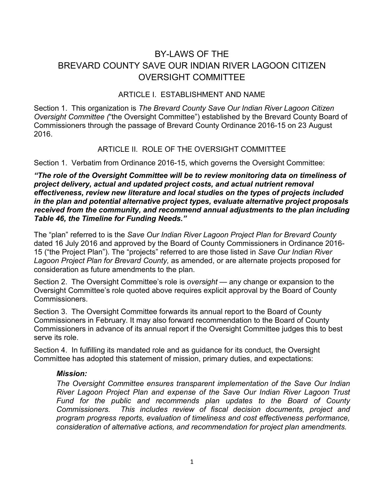# BY-LAWS OF THE BREVARD COUNTY SAVE OUR INDIAN RIVER LAGOON CITIZEN OVERSIGHT COMMITTEE

#### ARTICLE I. ESTABLISHMENT AND NAME

Section 1. This organization is *The Brevard County Save Our Indian River Lagoon Citizen Oversight Committee (*"the Oversight Committee") established by the Brevard County Board of Commissioners through the passage of Brevard County Ordinance 2016-15 on 23 August 2016.

#### ARTICLE II. ROLE OF THE OVERSIGHT COMMITTEE

Section 1. Verbatim from Ordinance 2016-15, which governs the Oversight Committee:

*"The role of the Oversight Committee will be to review monitoring data on timeliness of project delivery, actual and updated project costs, and actual nutrient removal effectiveness, review new literature and local studies on the types of projects included in the plan and potential alternative project types, evaluate alternative project proposals received from the community, and recommend annual adjustments to the plan including Table 46, the Timeline for Funding Needs."*

The "plan" referred to is the *Save Our Indian River Lagoon Project Plan for Brevard County* dated 16 July 2016 and approved by the Board of County Commissioners in Ordinance 2016- 15 ("the Project Plan"). The "projects" referred to are those listed in *Save Our Indian River Lagoon Project Plan for Brevard County,* as amended, or are alternate projects proposed for consideration as future amendments to the plan.

Section 2. The Oversight Committee's role is *oversight* — any change or expansion to the Oversight Committee's role quoted above requires explicit approval by the Board of County Commissioners.

Section 3. The Oversight Committee forwards its annual report to the Board of County Commissioners in February. It may also forward recommendation to the Board of County Commissioners in advance of its annual report if the Oversight Committee judges this to best serve its role.

Section 4. In fulfilling its mandated role and as guidance for its conduct, the Oversight Committee has adopted this statement of mission, primary duties, and expectations:

#### *Mission:*

*The Oversight Committee ensures transparent implementation of the Save Our Indian River Lagoon Project Plan and expense of the Save Our Indian River Lagoon Trust Fund for the public and recommends plan updates to the Board of County Commissioners. This includes review of fiscal decision documents, project and program progress reports, evaluation of timeliness and cost effectiveness performance, consideration of alternative actions, and recommendation for project plan amendments.*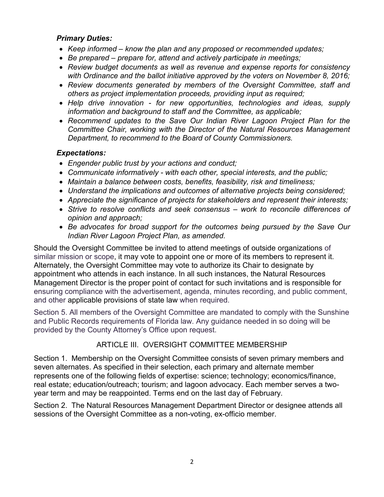#### *Primary Duties:*

- *Keep informed – know the plan and any proposed or recommended updates;*
- *Be prepared – prepare for, attend and actively participate in meetings;*
- *Review budget documents as well as revenue and expense reports for consistency with Ordinance and the ballot initiative approved by the voters on November 8, 2016;*
- *Review documents generated by members of the Oversight Committee, staff and others as project implementation proceeds, providing input as required;*
- *Help drive innovation - for new opportunities, technologies and ideas, supply information and background to staff and the Committee, as applicable;*
- *Recommend updates to the Save Our Indian River Lagoon Project Plan for the Committee Chair, working with the Director of the Natural Resources Management Department, to recommend to the Board of County Commissioners.*

## *Expectations:*

- *Engender public trust by your actions and conduct;*
- *Communicate informatively - with each other, special interests, and the public;*
- *Maintain a balance between costs, benefits, feasibility, risk and timeliness;*
- *Understand the implications and outcomes of alternative projects being considered;*
- *Appreciate the significance of projects for stakeholders and represent their interests;*
- *Strive to resolve conflicts and seek consensus – work to reconcile differences of opinion and approach;*
- *Be advocates for broad support for the outcomes being pursued by the Save Our Indian River Lagoon Project Plan, as amended.*

Should the Oversight Committee be invited to attend meetings of outside organizations of similar mission or scope, it may vote to appoint one or more of its members to represent it. Alternately, the Oversight Committee may vote to authorize its Chair to designate by appointment who attends in each instance. In all such instances, the Natural Resources Management Director is the proper point of contact for such invitations and is responsible for ensuring compliance with the advertisement, agenda, minutes recording, and public comment, and other applicable provisions of state law when required.

Section 5. All members of the Oversight Committee are mandated to comply with the Sunshine and Public Records requirements of Florida law. Any guidance needed in so doing will be provided by the County Attorney's Office upon request.

#### ARTICLE III. OVERSIGHT COMMITTEE MEMBERSHIP

Section 1. Membership on the Oversight Committee consists of seven primary members and seven alternates. As specified in their selection, each primary and alternate member represents one of the following fields of expertise: science; technology; economics/finance, real estate; education/outreach; tourism; and lagoon advocacy. Each member serves a twoyear term and may be reappointed. Terms end on the last day of February.

Section 2. The Natural Resources Management Department Director or designee attends all sessions of the Oversight Committee as a non-voting, ex-officio member.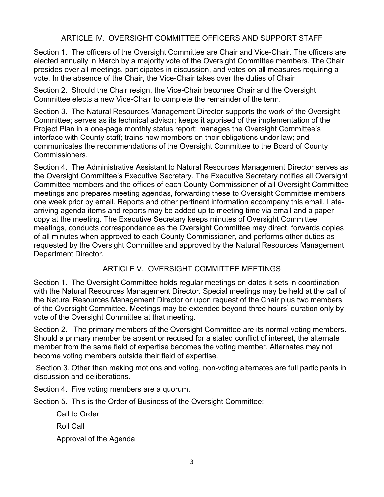### ARTICLE IV. OVERSIGHT COMMITTEE OFFICERS AND SUPPORT STAFF

Section 1. The officers of the Oversight Committee are Chair and Vice-Chair. The officers are elected annually in March by a majority vote of the Oversight Committee members. The Chair presides over all meetings, participates in discussion, and votes on all measures requiring a vote. In the absence of the Chair, the Vice-Chair takes over the duties of Chair

Section 2. Should the Chair resign, the Vice-Chair becomes Chair and the Oversight Committee elects a new Vice-Chair to complete the remainder of the term.

Section 3. The Natural Resources Management Director supports the work of the Oversight Committee; serves as its technical advisor; keeps it apprised of the implementation of the Project Plan in a one-page monthly status report; manages the Oversight Committee's interface with County staff; trains new members on their obligations under law; and communicates the recommendations of the Oversight Committee to the Board of County Commissioners.

Section 4. The Administrative Assistant to Natural Resources Management Director serves as the Oversight Committee's Executive Secretary. The Executive Secretary notifies all Oversight Committee members and the offices of each County Commissioner of all Oversight Committee meetings and prepares meeting agendas, forwarding these to Oversight Committee members one week prior by email. Reports and other pertinent information accompany this email. Latearriving agenda items and reports may be added up to meeting time via email and a paper copy at the meeting. The Executive Secretary keeps minutes of Oversight Committee meetings, conducts correspondence as the Oversight Committee may direct, forwards copies of all minutes when approved to each County Commissioner, and performs other duties as requested by the Oversight Committee and approved by the Natural Resources Management Department Director.

#### ARTICLE V. OVERSIGHT COMMITTEE MEETINGS

Section 1. The Oversight Committee holds regular meetings on dates it sets in coordination with the Natural Resources Management Director. Special meetings may be held at the call of the Natural Resources Management Director or upon request of the Chair plus two members of the Oversight Committee. Meetings may be extended beyond three hours' duration only by vote of the Oversight Committee at that meeting.

Section 2. The primary members of the Oversight Committee are its normal voting members. Should a primary member be absent or recused for a stated conflict of interest, the alternate member from the same field of expertise becomes the voting member. Alternates may not become voting members outside their field of expertise.

Section 3. Other than making motions and voting, non-voting alternates are full participants in discussion and deliberations.

Section 4. Five voting members are a quorum.

Section 5. This is the Order of Business of the Oversight Committee:

Call to Order

Roll Call

Approval of the Agenda